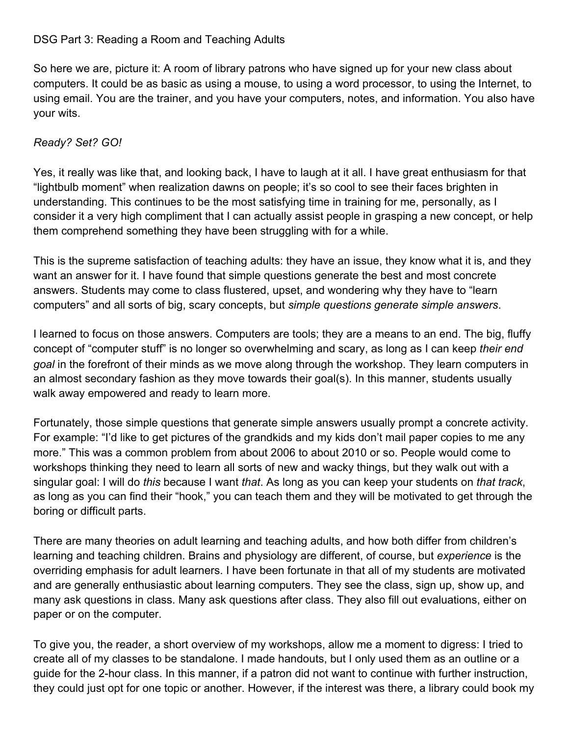## DSG Part 3: Reading a Room and Teaching Adults

So here we are, picture it: A room of library patrons who have signed up for your new class about computers. It could be as basic as using a mouse, to using a word processor, to using the Internet, to using email. You are the trainer, and you have your computers, notes, and information. You also have your wits.

## *Ready? Set? GO!*

Yes, it really was like that, and looking back, I have to laugh at it all. I have great enthusiasm for that "lightbulb moment" when realization dawns on people; it's so cool to see their faces brighten in understanding. This continues to be the most satisfying time in training for me, personally, as I consider it a very high compliment that I can actually assist people in grasping a new concept, or help them comprehend something they have been struggling with for a while.

This is the supreme satisfaction of teaching adults: they have an issue, they know what it is, and they want an answer for it. I have found that simple questions generate the best and most concrete answers. Students may come to class flustered, upset, and wondering why they have to "learn computers" and all sorts of big, scary concepts, but *simple questions generate simple answers*.

I learned to focus on those answers. Computers are tools; they are a means to an end. The big, fluffy concept of "computer stuff" is no longer so overwhelming and scary, as long as I can keep *their end goal* in the forefront of their minds as we move along through the workshop. They learn computers in an almost secondary fashion as they move towards their goal(s). In this manner, students usually walk away empowered and ready to learn more.

Fortunately, those simple questions that generate simple answers usually prompt a concrete activity. For example: "I'd like to get pictures of the grandkids and my kids don't mail paper copies to me any more." This was a common problem from about 2006 to about 2010 or so. People would come to workshops thinking they need to learn all sorts of new and wacky things, but they walk out with a singular goal: I will do *this* because I want *that*. As long as you can keep your students on *that track*, as long as you can find their "hook," you can teach them and they will be motivated to get through the boring or difficult parts.

There are many theories on adult learning and teaching adults, and how both differ from children's learning and teaching children. Brains and physiology are different, of course, but *experience* is the overriding emphasis for adult learners. I have been fortunate in that all of my students are motivated and are generally enthusiastic about learning computers. They see the class, sign up, show up, and many ask questions in class. Many ask questions after class. They also fill out evaluations, either on paper or on the computer.

To give you, the reader, a short overview of my workshops, allow me a moment to digress: I tried to create all of my classes to be standalone. I made handouts, but I only used them as an outline or a guide for the 2-hour class. In this manner, if a patron did not want to continue with further instruction, they could just opt for one topic or another. However, if the interest was there, a library could book my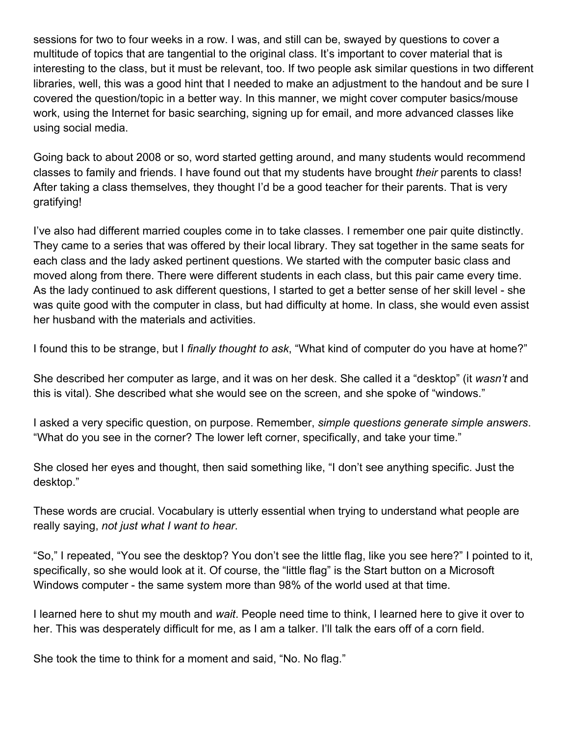sessions for two to four weeks in a row. I was, and still can be, swayed by questions to cover a multitude of topics that are tangential to the original class. It's important to cover material that is interesting to the class, but it must be relevant, too. If two people ask similar questions in two different libraries, well, this was a good hint that I needed to make an adjustment to the handout and be sure I covered the question/topic in a better way. In this manner, we might cover computer basics/mouse work, using the Internet for basic searching, signing up for email, and more advanced classes like using social media.

Going back to about 2008 or so, word started getting around, and many students would recommend classes to family and friends. I have found out that my students have brought *their* parents to class! After taking a class themselves, they thought I'd be a good teacher for their parents. That is very gratifying!

I've also had different married couples come in to take classes. I remember one pair quite distinctly. They came to a series that was offered by their local library. They sat together in the same seats for each class and the lady asked pertinent questions. We started with the computer basic class and moved along from there. There were different students in each class, but this pair came every time. As the lady continued to ask different questions, I started to get a better sense of her skill level - she was quite good with the computer in class, but had difficulty at home. In class, she would even assist her husband with the materials and activities.

I found this to be strange, but I *finally thought to ask*, "What kind of computer do you have at home?"

She described her computer as large, and it was on her desk. She called it a "desktop" (it *wasn't* and this is vital). She described what she would see on the screen, and she spoke of "windows."

I asked a very specific question, on purpose. Remember, *simple questions generate simple answers*. "What do you see in the corner? The lower left corner, specifically, and take your time."

She closed her eyes and thought, then said something like, "I don't see anything specific. Just the desktop."

These words are crucial. Vocabulary is utterly essential when trying to understand what people are really saying, *not just what I want to hear*.

"So," I repeated, "You see the desktop? You don't see the little flag, like you see here?" I pointed to it, specifically, so she would look at it. Of course, the "little flag" is the Start button on a Microsoft Windows computer - the same system more than 98% of the world used at that time.

I learned here to shut my mouth and *wait*. People need time to think, I learned here to give it over to her. This was desperately difficult for me, as I am a talker. I'll talk the ears off of a corn field.

She took the time to think for a moment and said, "No. No flag."